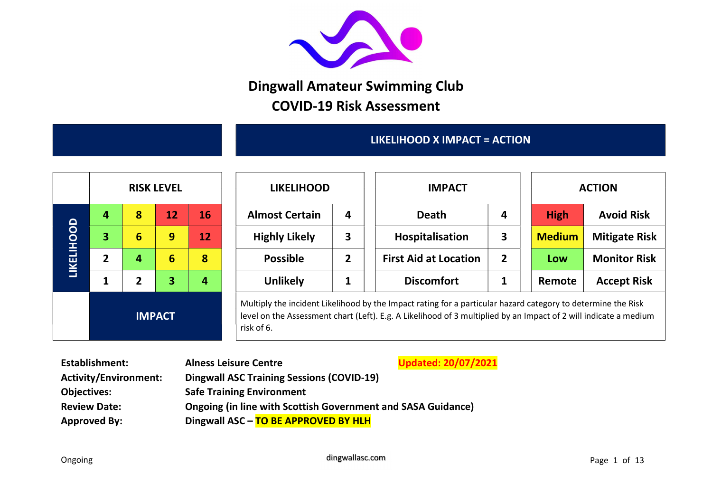

## Dingwall Amateur Swimming Club COVID-19 Risk Assessment

## LIKELIHOOD X IMPACT = ACTION

|                   | <b>RISK LEVEL</b><br>8<br>16<br>12<br>4<br>3<br>6<br>9<br>12<br>$\overline{2}$<br>8<br>6<br>4<br>$\overline{2}$<br>3<br>4<br>1 |               |  |  |  |  |  |  |
|-------------------|--------------------------------------------------------------------------------------------------------------------------------|---------------|--|--|--|--|--|--|
|                   |                                                                                                                                |               |  |  |  |  |  |  |
| <b>LIKELIHOOD</b> |                                                                                                                                |               |  |  |  |  |  |  |
|                   |                                                                                                                                |               |  |  |  |  |  |  |
|                   |                                                                                                                                |               |  |  |  |  |  |  |
|                   |                                                                                                                                | <b>IMPACT</b> |  |  |  |  |  |  |

|                   |   |   | <b>RISK LEVEL</b> |                          | <b>LIKELIHOOD</b>     |   | <b>IMPACT</b>                |                |               | <b>ACTION</b>        |  |  |
|-------------------|---|---|-------------------|--------------------------|-----------------------|---|------------------------------|----------------|---------------|----------------------|--|--|
|                   | 4 | 8 | 12                | $\overline{\mathbf{16}}$ | <b>Almost Certain</b> | 4 | <b>Death</b>                 | 4              | <b>High</b>   | <b>Avoid Risk</b>    |  |  |
|                   | 3 | 6 | 9                 | 12                       | <b>Highly Likely</b>  | 3 | Hospitalisation              | 3              | <b>Medium</b> | <b>Mitigate Risk</b> |  |  |
| <b>LIKELIHOOD</b> | 2 | 4 | 6                 | 8                        | <b>Possible</b>       |   | <b>First Aid at Location</b> | $\overline{2}$ | Low           | <b>Monitor Risk</b>  |  |  |
|                   |   | 2 | 3                 | 4                        | <b>Unlikely</b>       |   | <b>Discomfort</b>            |                | Remote        | <b>Accept Risk</b>   |  |  |

Multiply the incident Likelihood by the Impact rating for a particular hazard category to determine the Risk level on the Assessment chart (Left). E.g. A Likelihood of 3 multiplied by an Impact of 2 will indicate a medium risk of 6.

| <b>Establishment:</b> | <b>Alness Leisure Centre</b>                                        | <b>Updated: 20/07/2021</b> |
|-----------------------|---------------------------------------------------------------------|----------------------------|
| Activity/Environment: | <b>Dingwall ASC Training Sessions (COVID-19)</b>                    |                            |
| <b>Objectives:</b>    | <b>Safe Training Environment</b>                                    |                            |
| <b>Review Date:</b>   | <b>Ongoing (in line with Scottish Government and SASA Guidance)</b> |                            |
| <b>Approved By:</b>   | Dingwall ASC - TO BE APPROVED BY HLH                                |                            |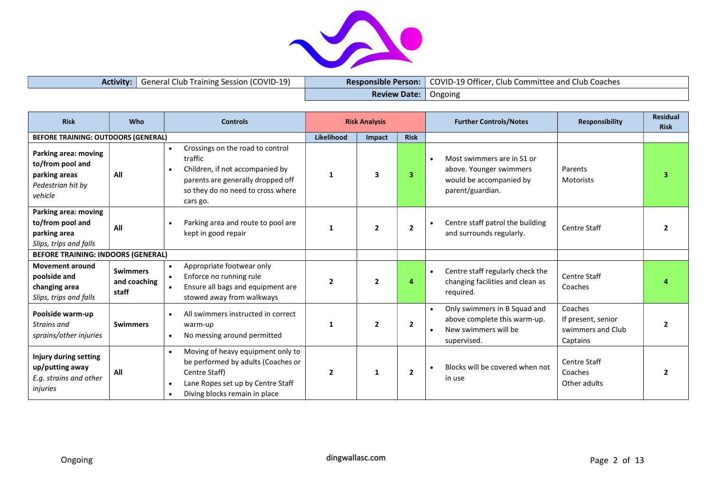

| <b>Activity:</b> General Club Training Session (COVID-19) |                               | <b>Responsible Person:</b> COVID-19 Officer, Club Committee and Club Coaches |
|-----------------------------------------------------------|-------------------------------|------------------------------------------------------------------------------|
|                                                           | <b>Review Date:</b>   Ongoing |                                                                              |

| <b>Risk</b>                                                                               | <b>Who</b>                               | <b>Controls</b>                                                                                                                                                                                |                | <b>Risk Analysis</b>    |                | <b>Further Controls/Notes</b>                                                                                     | <b>Responsibility</b>                                          | <b>Residual</b><br><b>Risk</b> |
|-------------------------------------------------------------------------------------------|------------------------------------------|------------------------------------------------------------------------------------------------------------------------------------------------------------------------------------------------|----------------|-------------------------|----------------|-------------------------------------------------------------------------------------------------------------------|----------------------------------------------------------------|--------------------------------|
| <b>BEFORE TRAINING: OUTDOORS (GENERAL)</b>                                                |                                          |                                                                                                                                                                                                | Likelihood     | Impact                  | <b>Risk</b>    |                                                                                                                   |                                                                |                                |
| Parking area: moving<br>to/from pool and<br>parking areas<br>Pedestrian hit by<br>vehicle | All                                      | Crossings on the road to control<br>$\bullet$<br>traffic<br>Children, if not accompanied by<br>$\bullet$<br>parents are generally dropped off<br>so they do no need to cross where<br>cars go. | 1              | $\overline{\mathbf{3}}$ | 3              | Most swimmers are in S1 or<br>$\bullet$<br>above. Younger swimmers<br>would be accompanied by<br>parent/guardian. | Parents<br>Motorists                                           | 3                              |
| Parking area: moving<br>to/from pool and<br>parking area<br>Slips, trips and falls        | All                                      | Parking area and route to pool are<br>kept in good repair                                                                                                                                      | 1              | $\overline{2}$          | $\overline{2}$ | Centre staff patrol the building<br>and surrounds regularly.                                                      | <b>Centre Staff</b>                                            |                                |
| <b>BEFORE TRAINING: INDOORS (GENERAL)</b>                                                 |                                          |                                                                                                                                                                                                |                |                         |                |                                                                                                                   |                                                                |                                |
| <b>Movement around</b><br>poolside and<br>changing area<br>Slips, trips and falls         | <b>Swimmers</b><br>and coaching<br>staff | Appropriate footwear only<br>$\bullet$<br>Enforce no running rule<br>$\bullet$<br>Ensure all bags and equipment are<br>stowed away from walkways                                               | $\overline{2}$ | $\overline{2}$          | 4              | Centre staff regularly check the<br>$\bullet$<br>changing facilities and clean as<br>required.                    | <b>Centre Staff</b><br>Coaches                                 |                                |
| Poolside warm-up<br>Strains and<br>sprains/other injuries                                 | <b>Swimmers</b>                          | All swimmers instructed in correct<br>$\bullet$<br>warm-up<br>No messing around permitted<br>$\bullet$                                                                                         | $\mathbf{1}$   | $\overline{2}$          | $\overline{2}$ | Only swimmers in B Squad and<br>above complete this warm-up.<br>New swimmers will be<br>$\bullet$<br>supervised.  | Coaches<br>If present, senior<br>swimmers and Club<br>Captains | 2                              |
| Injury during setting<br>up/putting away<br>E.g. strains and other<br>injuries            | All                                      | Moving of heavy equipment only to<br>$\bullet$<br>be performed by adults (Coaches or<br>Centre Staff)<br>Lane Ropes set up by Centre Staff<br>Diving blocks remain in place                    | $\mathbf{2}$   | 1                       | $\overline{2}$ | Blocks will be covered when not<br>$\bullet$<br>in use                                                            | <b>Centre Staff</b><br>Coaches<br>Other adults                 |                                |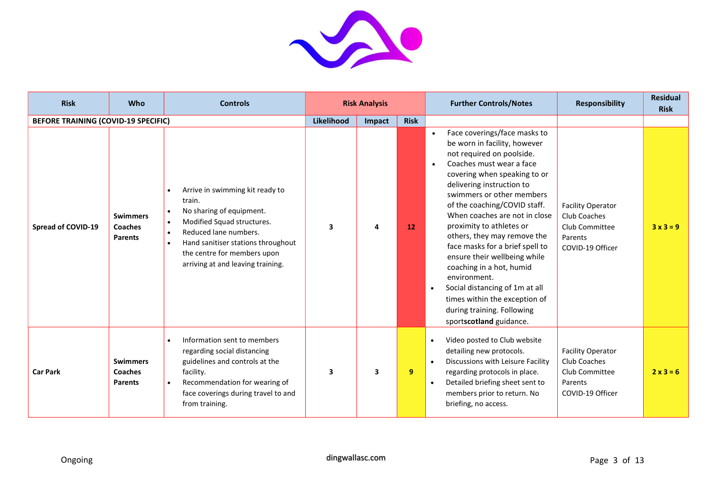

| <b>Risk</b>                                | Who                                          | <b>Controls</b>                                                                                                                                                                                                                                                  |            | <b>Risk Analysis</b>    |             | <b>Further Controls/Notes</b>                                                                                                                                                                                                                                                                                                                                                                                                                                                                                                                                                                       | <b>Responsibility</b>                                                                     | <b>Residual</b><br><b>Risk</b> |
|--------------------------------------------|----------------------------------------------|------------------------------------------------------------------------------------------------------------------------------------------------------------------------------------------------------------------------------------------------------------------|------------|-------------------------|-------------|-----------------------------------------------------------------------------------------------------------------------------------------------------------------------------------------------------------------------------------------------------------------------------------------------------------------------------------------------------------------------------------------------------------------------------------------------------------------------------------------------------------------------------------------------------------------------------------------------------|-------------------------------------------------------------------------------------------|--------------------------------|
| <b>BEFORE TRAINING (COVID-19 SPECIFIC)</b> |                                              |                                                                                                                                                                                                                                                                  | Likelihood | Impact                  | <b>Risk</b> |                                                                                                                                                                                                                                                                                                                                                                                                                                                                                                                                                                                                     |                                                                                           |                                |
| <b>Spread of COVID-19</b>                  | <b>Swimmers</b><br>Coaches<br><b>Parents</b> | Arrive in swimming kit ready to<br>train.<br>No sharing of equipment.<br>Modified Squad structures.<br>Reduced lane numbers.<br>$\bullet$<br>Hand sanitiser stations throughout<br>$\bullet$<br>the centre for members upon<br>arriving at and leaving training. | 3          | 4                       | <b>12</b>   | Face coverings/face masks to<br>$\bullet$<br>be worn in facility, however<br>not required on poolside.<br>Coaches must wear a face<br>covering when speaking to or<br>delivering instruction to<br>swimmers or other members<br>of the coaching/COVID staff.<br>When coaches are not in close<br>proximity to athletes or<br>others, they may remove the<br>face masks for a brief spell to<br>ensure their wellbeing while<br>coaching in a hot, humid<br>environment.<br>Social distancing of 1m at all<br>times within the exception of<br>during training. Following<br>sportscotland guidance. | <b>Facility Operator</b><br>Club Coaches<br>Club Committee<br>Parents<br>COVID-19 Officer | $3x3=9$                        |
| <b>Car Park</b>                            | <b>Swimmers</b><br>Coaches<br><b>Parents</b> | Information sent to members<br>regarding social distancing<br>guidelines and controls at the<br>facility.<br>Recommendation for wearing of<br>$\bullet$<br>face coverings during travel to and<br>from training.                                                 | 3          | $\overline{\mathbf{3}}$ | 9           | Video posted to Club website<br>$\bullet$<br>detailing new protocols.<br>Discussions with Leisure Facility<br>$\bullet$<br>regarding protocols in place.<br>Detailed briefing sheet sent to<br>$\bullet$<br>members prior to return. No<br>briefing, no access.                                                                                                                                                                                                                                                                                                                                     | <b>Facility Operator</b><br>Club Coaches<br>Club Committee<br>Parents<br>COVID-19 Officer | $2x3=6$                        |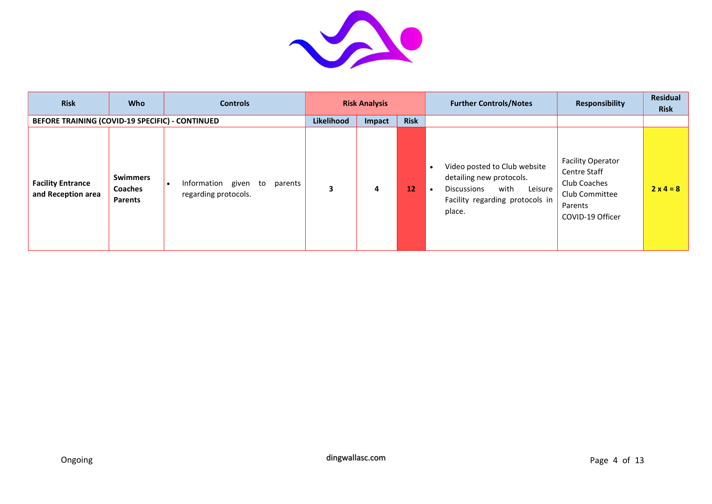

| <b>Risk</b>                                     | <b>Who</b>                                   | <b>Controls</b>                                         |            | <b>Risk Analysis</b> |             | <b>Further Controls/Notes</b>                                                                                                                                            | <b>Responsibility</b>                                                                                     | <b>Residual</b><br><b>Risk</b> |
|-------------------------------------------------|----------------------------------------------|---------------------------------------------------------|------------|----------------------|-------------|--------------------------------------------------------------------------------------------------------------------------------------------------------------------------|-----------------------------------------------------------------------------------------------------------|--------------------------------|
| BEFORE TRAINING (COVID-19 SPECIFIC) - CONTINUED |                                              |                                                         | Likelihood | Impact               | <b>Risk</b> |                                                                                                                                                                          |                                                                                                           |                                |
| <b>Facility Entrance</b><br>and Reception area  | <b>Swimmers</b><br><b>Coaches</b><br>Parents | Information given to<br>parents<br>regarding protocols. | 3          | 4                    | 12          | Video posted to Club website<br>$\bullet$<br>detailing new protocols.<br>with<br>Leisure<br><b>Discussions</b><br>$\bullet$<br>Facility regarding protocols in<br>place. | <b>Facility Operator</b><br>Centre Staff<br>Club Coaches<br>Club Committee<br>Parents<br>COVID-19 Officer | $2x4=8$                        |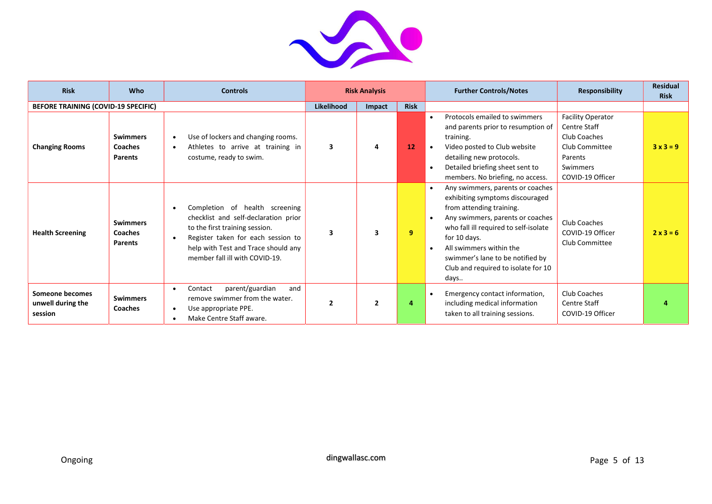

| <b>Risk</b>                                     | <b>Who</b>                                          | <b>Controls</b>                                                                                                                                                                                                                                   |                   | <b>Risk Analysis</b>    |             | <b>Further Controls/Notes</b>                                                                                                                                                                                                                                                                                                                  | <b>Responsibility</b>                                                                                                 | <b>Residual</b><br><b>Risk</b> |
|-------------------------------------------------|-----------------------------------------------------|---------------------------------------------------------------------------------------------------------------------------------------------------------------------------------------------------------------------------------------------------|-------------------|-------------------------|-------------|------------------------------------------------------------------------------------------------------------------------------------------------------------------------------------------------------------------------------------------------------------------------------------------------------------------------------------------------|-----------------------------------------------------------------------------------------------------------------------|--------------------------------|
| BEFORE TRAINING (COVID-19 SPECIFIC)             |                                                     |                                                                                                                                                                                                                                                   | <b>Likelihood</b> | Impact                  | <b>Risk</b> |                                                                                                                                                                                                                                                                                                                                                |                                                                                                                       |                                |
| <b>Changing Rooms</b>                           | <b>Swimmers</b><br><b>Coaches</b><br><b>Parents</b> | Use of lockers and changing rooms.<br>$\bullet$<br>Athletes to arrive at training in<br>$\bullet$<br>costume, ready to swim.                                                                                                                      | 3                 | 4                       | 12          | Protocols emailed to swimmers<br>and parents prior to resumption of<br>training.<br>Video posted to Club website<br>detailing new protocols.<br>Detailed briefing sheet sent to                                                                                                                                                                | <b>Facility Operator</b><br>Centre Staff<br>Club Coaches<br>Club Committee<br>Parents<br>Swimmers<br>COVID-19 Officer | $3x3=9$                        |
| <b>Health Screening</b>                         | <b>Swimmers</b><br>Coaches<br><b>Parents</b>        | Completion of health screening<br>$\bullet$<br>checklist and self-declaration prior<br>to the first training session.<br>Register taken for each session to<br>$\bullet$<br>help with Test and Trace should any<br>member fall ill with COVID-19. | 3                 | $\overline{\mathbf{3}}$ | 9           | members. No briefing, no access.<br>Any swimmers, parents or coaches<br>exhibiting symptoms discouraged<br>from attending training.<br>Any swimmers, parents or coaches<br>who fall ill required to self-isolate<br>for 10 days.<br>All swimmers within the<br>swimmer's lane to be notified by<br>Club and required to isolate for 10<br>days | Club Coaches<br>COVID-19 Officer<br>Club Committee                                                                    | $2x3=6$                        |
| Someone becomes<br>unwell during the<br>session | <b>Swimmers</b><br><b>Coaches</b>                   | parent/guardian<br>Contact<br>and<br>$\bullet$<br>remove swimmer from the water.<br>Use appropriate PPE.<br>$\bullet$<br>Make Centre Staff aware.                                                                                                 | $\overline{2}$    | $\overline{2}$          | 4           | Emergency contact information,<br>including medical information<br>taken to all training sessions.                                                                                                                                                                                                                                             | Club Coaches<br><b>Centre Staff</b><br>COVID-19 Officer                                                               |                                |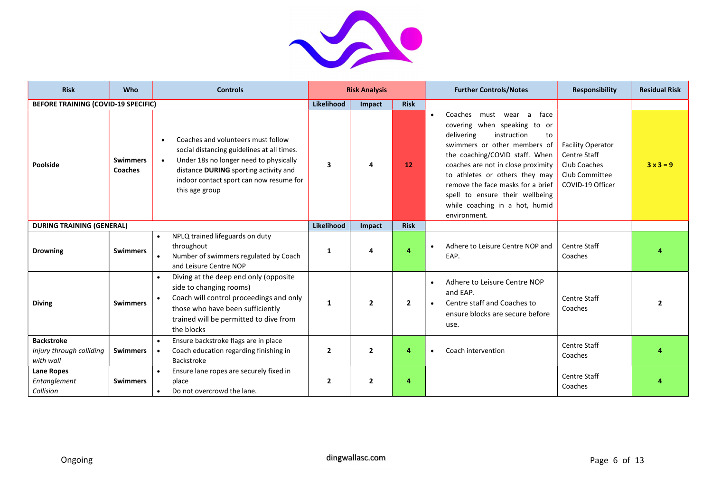

| <b>Risk</b>                                                | Who                        | <b>Controls</b>                                                                                                                                                                                                                                      |                | <b>Risk Analysis</b> |                | <b>Further Controls/Notes</b>                                                                                                                                                                                                                                                                                                                                            | <b>Responsibility</b>                                                                          | <b>Residual Risk</b>     |
|------------------------------------------------------------|----------------------------|------------------------------------------------------------------------------------------------------------------------------------------------------------------------------------------------------------------------------------------------------|----------------|----------------------|----------------|--------------------------------------------------------------------------------------------------------------------------------------------------------------------------------------------------------------------------------------------------------------------------------------------------------------------------------------------------------------------------|------------------------------------------------------------------------------------------------|--------------------------|
| <b>BEFORE TRAINING (COVID-19 SPECIFIC)</b>                 |                            |                                                                                                                                                                                                                                                      | Likelihood     | Impact               | <b>Risk</b>    |                                                                                                                                                                                                                                                                                                                                                                          |                                                                                                |                          |
| Poolside                                                   | <b>Swimmers</b><br>Coaches | Coaches and volunteers must follow<br>social distancing guidelines at all times.<br>Under 18s no longer need to physically<br>$\bullet$<br>distance <b>DURING</b> sporting activity and<br>indoor contact sport can now resume for<br>this age group | 3              | Δ                    | <b>12</b>      | Coaches<br>face<br>must<br>wear a<br>covering when speaking to or<br>instruction<br>delivering<br>to<br>swimmers or other members of<br>the coaching/COVID staff. When<br>coaches are not in close proximity<br>to athletes or others they may<br>remove the face masks for a brief<br>spell to ensure their wellbeing<br>while coaching in a hot, humid<br>environment. | <b>Facility Operator</b><br>Centre Staff<br>Club Coaches<br>Club Committee<br>COVID-19 Officer | $3x3=9$                  |
| <b>DURING TRAINING (GENERAL)</b>                           |                            |                                                                                                                                                                                                                                                      | Likelihood     | Impact               | <b>Risk</b>    |                                                                                                                                                                                                                                                                                                                                                                          |                                                                                                |                          |
| <b>Drowning</b>                                            | <b>Swimmers</b>            | NPLQ trained lifeguards on duty<br>throughout<br>Number of swimmers regulated by Coach<br>and Leisure Centre NOP                                                                                                                                     | 1              | Δ                    | 4              | Adhere to Leisure Centre NOP and<br>$\bullet$<br>EAP.                                                                                                                                                                                                                                                                                                                    | <b>Centre Staff</b><br>Coaches                                                                 |                          |
| <b>Diving</b>                                              | <b>Swimmers</b>            | Diving at the deep end only (opposite<br>side to changing rooms)<br>Coach will control proceedings and only<br>those who have been sufficiently<br>trained will be permitted to dive from<br>the blocks                                              | 1              | $\overline{2}$       | $\overline{2}$ | Adhere to Leisure Centre NOP<br>$\bullet$<br>and EAP.<br>Centre staff and Coaches to<br>$\bullet$<br>ensure blocks are secure before<br>use.                                                                                                                                                                                                                             | <b>Centre Staff</b><br>Coaches                                                                 | $\overline{\phantom{a}}$ |
| <b>Backstroke</b><br>Injury through colliding<br>with wall | <b>Swimmers</b>            | Ensure backstroke flags are in place<br>Coach education regarding finishing in<br>Backstroke                                                                                                                                                         | $\overline{2}$ | $\overline{2}$       | 4              | Coach intervention                                                                                                                                                                                                                                                                                                                                                       | <b>Centre Staff</b><br>Coaches                                                                 |                          |
| <b>Lane Ropes</b><br>Entanglement<br>Collision             | <b>Swimmers</b>            | Ensure lane ropes are securely fixed in<br>$\bullet$<br>place<br>Do not overcrowd the lane.<br>$\bullet$                                                                                                                                             | $\overline{2}$ | $\overline{2}$       | 4              |                                                                                                                                                                                                                                                                                                                                                                          | <b>Centre Staff</b><br>Coaches                                                                 |                          |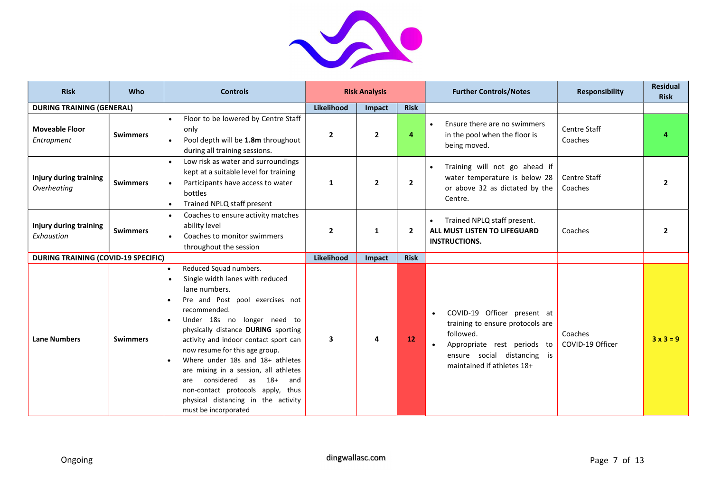

| <b>Risk</b>                                  | Who             | <b>Controls</b>                                                                                                                                                                                                                                                                                                                                                                                                                                                                                                      |                | <b>Risk Analysis</b> |                | <b>Further Controls/Notes</b>                                                                                                                                                         | <b>Responsibility</b>          | <b>Residual</b><br><b>Risk</b> |
|----------------------------------------------|-----------------|----------------------------------------------------------------------------------------------------------------------------------------------------------------------------------------------------------------------------------------------------------------------------------------------------------------------------------------------------------------------------------------------------------------------------------------------------------------------------------------------------------------------|----------------|----------------------|----------------|---------------------------------------------------------------------------------------------------------------------------------------------------------------------------------------|--------------------------------|--------------------------------|
| <b>DURING TRAINING (GENERAL)</b>             |                 |                                                                                                                                                                                                                                                                                                                                                                                                                                                                                                                      | Likelihood     | <b>Impact</b>        | <b>Risk</b>    |                                                                                                                                                                                       |                                |                                |
| <b>Moveable Floor</b><br>Entrapment          | <b>Swimmers</b> | Floor to be lowered by Centre Staff<br>only<br>Pool depth will be 1.8m throughout<br>$\bullet$<br>during all training sessions.                                                                                                                                                                                                                                                                                                                                                                                      | $\overline{2}$ | $\mathbf{2}$         | 4              | Ensure there are no swimmers<br>$\bullet$<br>in the pool when the floor is<br>being moved.                                                                                            | <b>Centre Staff</b><br>Coaches | 4                              |
| <b>Injury during training</b><br>Overheating | <b>Swimmers</b> | Low risk as water and surroundings<br>$\bullet$<br>kept at a suitable level for training<br>Participants have access to water<br>$\bullet$<br>bottles<br>Trained NPLQ staff present<br>$\bullet$                                                                                                                                                                                                                                                                                                                     | 1              | $\overline{2}$       | $\overline{2}$ | Training will not go ahead if<br>$\bullet$<br>water temperature is below 28<br>or above 32 as dictated by the<br>Centre.                                                              | <b>Centre Staff</b><br>Coaches | $\overline{2}$                 |
| Injury during training<br>Exhaustion         | <b>Swimmers</b> | Coaches to ensure activity matches<br>$\bullet$<br>ability level<br>Coaches to monitor swimmers<br>throughout the session                                                                                                                                                                                                                                                                                                                                                                                            | $\overline{2}$ | 1                    | $\overline{2}$ | Trained NPLQ staff present.<br>$\bullet$<br>ALL MUST LISTEN TO LIFEGUARD<br><b>INSTRUCTIONS.</b>                                                                                      | Coaches                        | $\overline{2}$                 |
| <b>DURING TRAINING (COVID-19 SPECIFIC)</b>   |                 |                                                                                                                                                                                                                                                                                                                                                                                                                                                                                                                      | Likelihood     | Impact               | <b>Risk</b>    |                                                                                                                                                                                       |                                |                                |
| <b>Lane Numbers</b>                          | <b>Swimmers</b> | Reduced Squad numbers.<br>$\bullet$<br>Single width lanes with reduced<br>lane numbers.<br>Pre and Post pool exercises not<br>recommended.<br>Under 18s no longer need to<br>physically distance DURING sporting<br>activity and indoor contact sport can<br>now resume for this age group.<br>Where under 18s and 18+ athletes<br>are mixing in a session, all athletes<br>considered as<br>$18+$<br>and<br>are<br>non-contact protocols apply, thus<br>physical distancing in the activity<br>must be incorporated | 3              | 4                    | 12             | COVID-19 Officer present at<br>$\bullet$<br>training to ensure protocols are<br>followed.<br>Appropriate rest periods to<br>ensure social distancing is<br>maintained if athletes 18+ | Coaches<br>COVID-19 Officer    | $3x3=9$                        |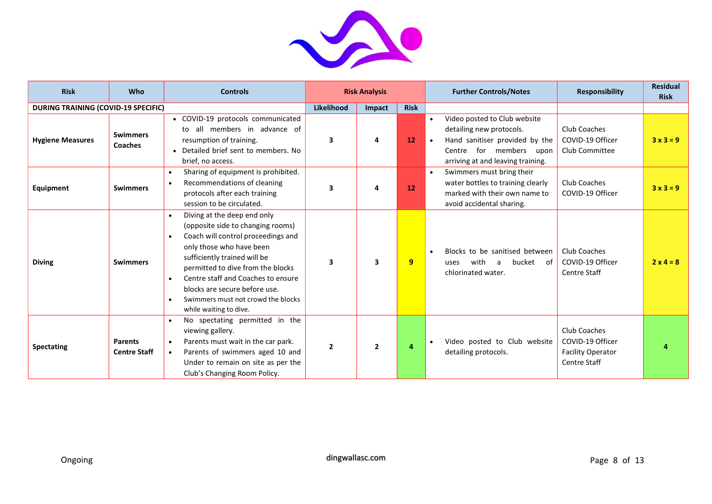

| <b>Risk</b>                                | Who                                   | <b>Controls</b>                                                                                                                                                                                                                                                                                                                                                                       |                | <b>Risk Analysis</b> |             | <b>Further Controls/Notes</b>                                                                                                                              | <b>Responsibility</b>                                                               | <b>Residual</b><br><b>Risk</b> |
|--------------------------------------------|---------------------------------------|---------------------------------------------------------------------------------------------------------------------------------------------------------------------------------------------------------------------------------------------------------------------------------------------------------------------------------------------------------------------------------------|----------------|----------------------|-------------|------------------------------------------------------------------------------------------------------------------------------------------------------------|-------------------------------------------------------------------------------------|--------------------------------|
| <b>DURING TRAINING (COVID-19 SPECIFIC)</b> |                                       |                                                                                                                                                                                                                                                                                                                                                                                       | Likelihood     | Impact               | <b>Risk</b> |                                                                                                                                                            |                                                                                     |                                |
| <b>Hygiene Measures</b>                    | <b>Swimmers</b><br><b>Coaches</b>     | • COVID-19 protocols communicated<br>to all members in advance of<br>resumption of training.<br>• Detailed brief sent to members. No<br>brief, no access.                                                                                                                                                                                                                             | 3              | 4                    | 12          | Video posted to Club website<br>detailing new protocols.<br>Hand sanitiser provided by the<br>Centre for members upon<br>arriving at and leaving training. | Club Coaches<br>COVID-19 Officer<br>Club Committee                                  | $3x3=9$                        |
| Equipment                                  | <b>Swimmers</b>                       | Sharing of equipment is prohibited.<br>$\bullet$<br>Recommendations of cleaning<br>$\bullet$<br>protocols after each training<br>session to be circulated.                                                                                                                                                                                                                            | 3              | 4                    | 12          | Swimmers must bring their<br>water bottles to training clearly<br>marked with their own name to<br>avoid accidental sharing.                               | Club Coaches<br>COVID-19 Officer                                                    | $3x3=9$                        |
| <b>Diving</b>                              | <b>Swimmers</b>                       | Diving at the deep end only<br>$\bullet$<br>(opposite side to changing rooms)<br>Coach will control proceedings and<br>$\bullet$<br>only those who have been<br>sufficiently trained will be<br>permitted to dive from the blocks<br>Centre staff and Coaches to ensure<br>$\bullet$<br>blocks are secure before use.<br>Swimmers must not crowd the blocks<br>while waiting to dive. | 3              | 3                    | 9           | Blocks to be sanitised between<br>bucket of<br>with<br>uses<br>a<br>chlorinated water.                                                                     | Club Coaches<br>COVID-19 Officer<br><b>Centre Staff</b>                             | $2 \times 4 = 8$               |
| <b>Spectating</b>                          | <b>Parents</b><br><b>Centre Staff</b> | No spectating permitted in the<br>$\bullet$<br>viewing gallery.<br>Parents must wait in the car park.<br>$\bullet$<br>Parents of swimmers aged 10 and<br>$\bullet$<br>Under to remain on site as per the<br>Club's Changing Room Policy.                                                                                                                                              | $\overline{2}$ | $\overline{2}$       | 4           | Video posted to Club website<br>detailing protocols.                                                                                                       | Club Coaches<br>COVID-19 Officer<br><b>Facility Operator</b><br><b>Centre Staff</b> |                                |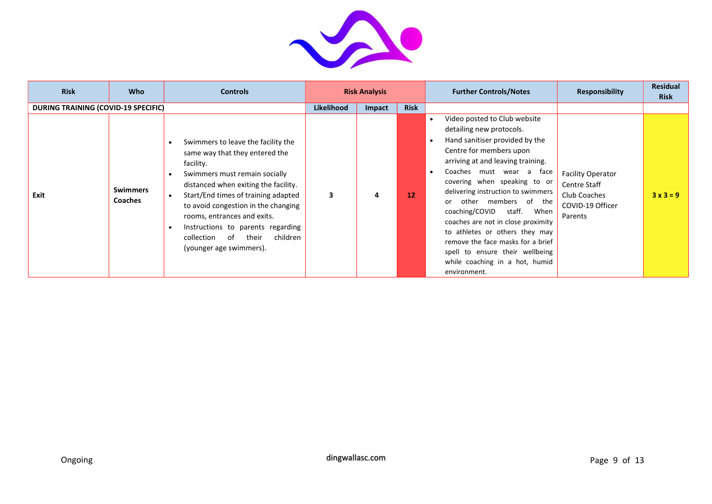

| <b>Risk</b>                                | <b>Who</b>                        | <b>Controls</b>                                                                                                                                                                                                                                                                                                                                                               |                   | <b>Risk Analysis</b> |             | <b>Further Controls/Notes</b>                                                                                                                                                                                                                                                                                                                                                                                                                                                                                                                        | <b>Responsibility</b>                                                                          | <b>Residual</b><br><b>Risk</b> |
|--------------------------------------------|-----------------------------------|-------------------------------------------------------------------------------------------------------------------------------------------------------------------------------------------------------------------------------------------------------------------------------------------------------------------------------------------------------------------------------|-------------------|----------------------|-------------|------------------------------------------------------------------------------------------------------------------------------------------------------------------------------------------------------------------------------------------------------------------------------------------------------------------------------------------------------------------------------------------------------------------------------------------------------------------------------------------------------------------------------------------------------|------------------------------------------------------------------------------------------------|--------------------------------|
| <b>DURING TRAINING (COVID-19 SPECIFIC)</b> |                                   |                                                                                                                                                                                                                                                                                                                                                                               | <b>Likelihood</b> | Impact               | <b>Risk</b> |                                                                                                                                                                                                                                                                                                                                                                                                                                                                                                                                                      |                                                                                                |                                |
| Exit                                       | <b>Swimmers</b><br><b>Coaches</b> | Swimmers to leave the facility the<br>same way that they entered the<br>facility.<br>Swimmers must remain socially<br>distanced when exiting the facility.<br>Start/End times of training adapted<br>to avoid congestion in the changing<br>rooms, entrances and exits.<br>Instructions to parents regarding<br>children<br>collection of<br>their<br>(younger age swimmers). | 3                 | 4                    | 12          | Video posted to Club website<br>٠<br>detailing new protocols.<br>Hand sanitiser provided by the<br>$\bullet$<br>Centre for members upon<br>arriving at and leaving training.<br>Coaches must wear a face<br>٠<br>covering when speaking to or<br>delivering instruction to swimmers<br>members of the<br>other<br>coaching/COVID<br>staff.<br>When<br>coaches are not in close proximity<br>to athletes or others they may<br>remove the face masks for a brief<br>spell to ensure their wellbeing<br>while coaching in a hot, humid<br>environment. | <b>Facility Operator</b><br><b>Centre Staff</b><br>Club Coaches<br>COVID-19 Officer<br>Parents | $3x3=9$                        |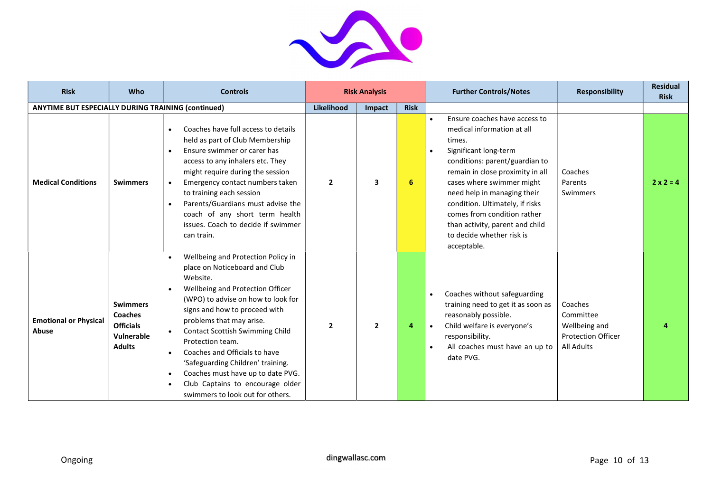

| <b>Risk</b>                                               | Who                                                                                  | <b>Controls</b>                                                                                                                                                                                                                                                                                                                                                                                                                                                                                                |              | <b>Risk Analysis</b> |             | <b>Further Controls/Notes</b>                                                                                                                                                                                                                                                                                                                                                                               | <b>Responsibility</b>                                                                   | <b>Residual</b><br><b>Risk</b> |
|-----------------------------------------------------------|--------------------------------------------------------------------------------------|----------------------------------------------------------------------------------------------------------------------------------------------------------------------------------------------------------------------------------------------------------------------------------------------------------------------------------------------------------------------------------------------------------------------------------------------------------------------------------------------------------------|--------------|----------------------|-------------|-------------------------------------------------------------------------------------------------------------------------------------------------------------------------------------------------------------------------------------------------------------------------------------------------------------------------------------------------------------------------------------------------------------|-----------------------------------------------------------------------------------------|--------------------------------|
| <b>ANYTIME BUT ESPECIALLY DURING TRAINING (continued)</b> |                                                                                      |                                                                                                                                                                                                                                                                                                                                                                                                                                                                                                                | Likelihood   | Impact               | <b>Risk</b> |                                                                                                                                                                                                                                                                                                                                                                                                             |                                                                                         |                                |
| <b>Medical Conditions</b>                                 | <b>Swimmers</b>                                                                      | Coaches have full access to details<br>held as part of Club Membership<br>Ensure swimmer or carer has<br>$\bullet$<br>access to any inhalers etc. They<br>might require during the session<br>Emergency contact numbers taken<br>$\bullet$<br>to training each session<br>Parents/Guardians must advise the<br>coach of any short term health<br>issues. Coach to decide if swimmer<br>can train.                                                                                                              | $\mathbf{2}$ | 3                    | 6           | Ensure coaches have access to<br>$\bullet$<br>medical information at all<br>times.<br>Significant long-term<br>$\bullet$<br>conditions: parent/guardian to<br>remain in close proximity in all<br>cases where swimmer might<br>need help in managing their<br>condition. Ultimately, if risks<br>comes from condition rather<br>than activity, parent and child<br>to decide whether risk is<br>acceptable. | Coaches<br>Parents<br>Swimmers                                                          | $2 \times 2 = 4$               |
| <b>Emotional or Physical</b><br>Abuse                     | <b>Swimmers</b><br><b>Coaches</b><br><b>Officials</b><br>Vulnerable<br><b>Adults</b> | Wellbeing and Protection Policy in<br>place on Noticeboard and Club<br>Website.<br>Wellbeing and Protection Officer<br>(WPO) to advise on how to look for<br>signs and how to proceed with<br>problems that may arise.<br><b>Contact Scottish Swimming Child</b><br>$\bullet$<br>Protection team.<br>Coaches and Officials to have<br>$\bullet$<br>'Safeguarding Children' training.<br>Coaches must have up to date PVG.<br>$\bullet$<br>Club Captains to encourage older<br>swimmers to look out for others. | $\mathbf{2}$ | $\overline{2}$       | 4           | Coaches without safeguarding<br>$\bullet$<br>training need to get it as soon as<br>reasonably possible.<br>Child welfare is everyone's<br>$\bullet$<br>responsibility.<br>All coaches must have an up to<br>$\bullet$<br>date PVG.                                                                                                                                                                          | Coaches<br>Committee<br>Wellbeing and<br><b>Protection Officer</b><br><b>All Adults</b> |                                |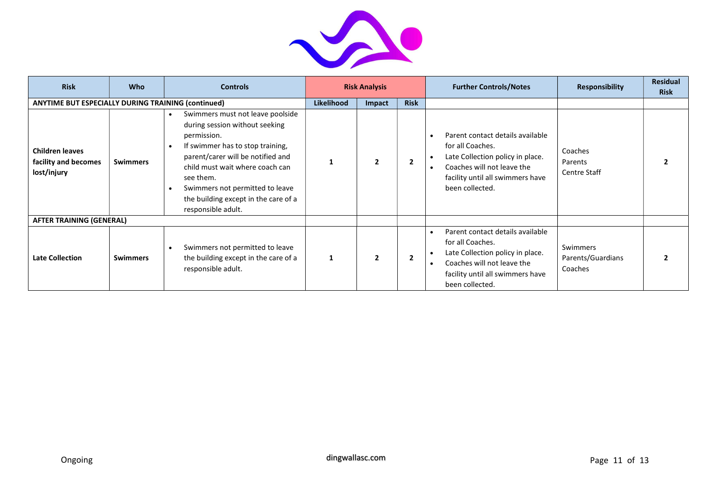

| <b>Risk</b>                                                   | <b>Who</b>      | <b>Controls</b>                                                                                                                                                                                                                                                                                                          | <b>Risk Analysis</b> |                |                | <b>Further Controls/Notes</b>                                                                                                                                                                                        | <b>Responsibility</b>                    | <b>Residual</b><br><b>Risk</b> |
|---------------------------------------------------------------|-----------------|--------------------------------------------------------------------------------------------------------------------------------------------------------------------------------------------------------------------------------------------------------------------------------------------------------------------------|----------------------|----------------|----------------|----------------------------------------------------------------------------------------------------------------------------------------------------------------------------------------------------------------------|------------------------------------------|--------------------------------|
| <b>ANYTIME BUT ESPECIALLY DURING TRAINING (continued)</b>     |                 |                                                                                                                                                                                                                                                                                                                          | <b>Likelihood</b>    | Impact         | <b>Risk</b>    |                                                                                                                                                                                                                      |                                          |                                |
| <b>Children leaves</b><br>facility and becomes<br>lost/injury | <b>Swimmers</b> | Swimmers must not leave poolside<br>$\bullet$<br>during session without seeking<br>permission.<br>If swimmer has to stop training,<br>parent/carer will be notified and<br>child must wait where coach can<br>see them.<br>Swimmers not permitted to leave<br>the building except in the care of a<br>responsible adult. |                      | $\overline{2}$ | $\overline{2}$ | Parent contact details available<br>$\bullet$<br>for all Coaches.<br>Late Collection policy in place.<br>$\bullet$<br>Coaches will not leave the<br>$\bullet$<br>facility until all swimmers have<br>been collected. | Coaches<br>Parents<br>Centre Staff       |                                |
| <b>AFTER TRAINING (GENERAL)</b>                               |                 |                                                                                                                                                                                                                                                                                                                          |                      |                |                |                                                                                                                                                                                                                      |                                          |                                |
| <b>Late Collection</b>                                        | <b>Swimmers</b> | Swimmers not permitted to leave<br>the building except in the care of a<br>responsible adult.                                                                                                                                                                                                                            | 1                    | $\overline{2}$ | $\overline{2}$ | Parent contact details available<br>$\bullet$<br>for all Coaches.<br>Late Collection policy in place.<br>$\bullet$<br>Coaches will not leave the<br>$\bullet$<br>facility until all swimmers have<br>been collected. | Swimmers<br>Parents/Guardians<br>Coaches |                                |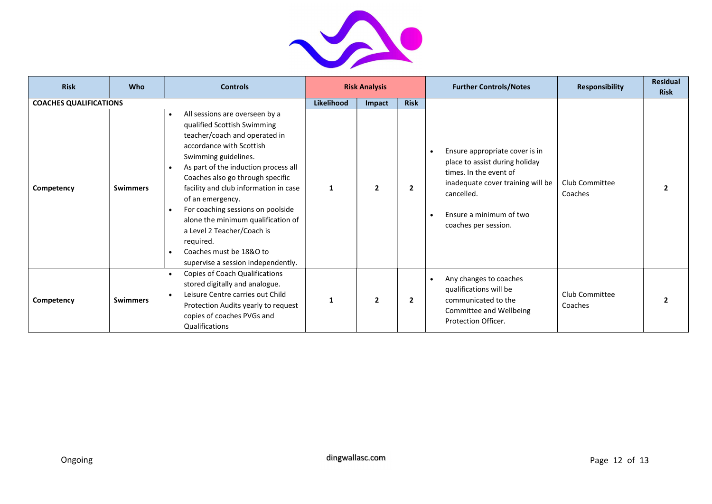

| <b>Risk</b>                   | <b>Who</b>      | <b>Controls</b>                                                                                                                                                                                                                                                                                                                                                                                                                                                                                              | <b>Risk Analysis</b> |                |                | <b>Further Controls/Notes</b>                                                                                                                                                                                              | <b>Responsibility</b>     | <b>Residual</b><br><b>Risk</b> |
|-------------------------------|-----------------|--------------------------------------------------------------------------------------------------------------------------------------------------------------------------------------------------------------------------------------------------------------------------------------------------------------------------------------------------------------------------------------------------------------------------------------------------------------------------------------------------------------|----------------------|----------------|----------------|----------------------------------------------------------------------------------------------------------------------------------------------------------------------------------------------------------------------------|---------------------------|--------------------------------|
| <b>COACHES QUALIFICATIONS</b> |                 |                                                                                                                                                                                                                                                                                                                                                                                                                                                                                                              | Likelihood           | Impact         | <b>Risk</b>    |                                                                                                                                                                                                                            |                           |                                |
| Competency                    | <b>Swimmers</b> | All sessions are overseen by a<br>$\bullet$<br>qualified Scottish Swimming<br>teacher/coach and operated in<br>accordance with Scottish<br>Swimming guidelines.<br>As part of the induction process all<br>Coaches also go through specific<br>facility and club information in case<br>of an emergency.<br>For coaching sessions on poolside<br>alone the minimum qualification of<br>a Level 2 Teacher/Coach is<br>required.<br>Coaches must be 18&O to<br>$\bullet$<br>supervise a session independently. |                      | $\overline{2}$ | $\overline{2}$ | Ensure appropriate cover is in<br>$\bullet$<br>place to assist during holiday<br>times. In the event of<br>inadequate cover training will be<br>cancelled.<br>Ensure a minimum of two<br>$\bullet$<br>coaches per session. | Club Committee<br>Coaches |                                |
| Competency                    | <b>Swimmers</b> | Copies of Coach Qualifications<br>$\bullet$<br>stored digitally and analogue.<br>Leisure Centre carries out Child<br>$\bullet$<br>Protection Audits yearly to request<br>copies of coaches PVGs and<br>Qualifications                                                                                                                                                                                                                                                                                        |                      | $\overline{2}$ | $\overline{2}$ | Any changes to coaches<br>$\bullet$<br>qualifications will be<br>communicated to the<br>Committee and Wellbeing<br>Protection Officer.                                                                                     | Club Committee<br>Coaches |                                |